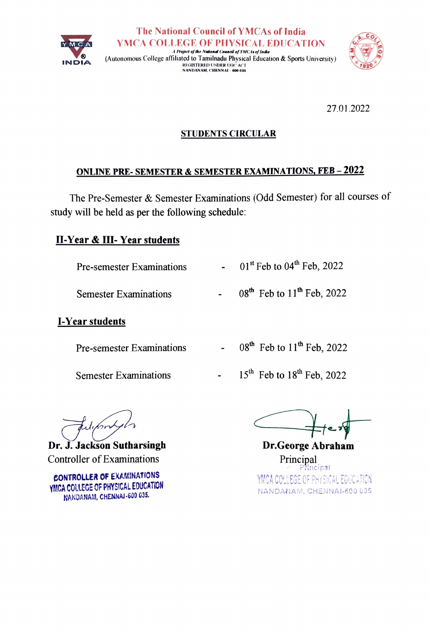



27.01.2022

#### STUDENTS CIRCULAR

#### ONLINE PRE- SEMESTER& SEMESTER EXAMINATIONS, FEB-2022

The Pre-Semester & Semester Examinations (Odd Semester) for all courses of study will be held as per the following schedule

### II-Year & III-Year students

Pre-semester Examinations  $0.1$ <sup>st</sup> Feb to  $0.4$ <sup>th</sup> Feb, 2022

Semester Examinations  $08<sup>th</sup>$  Feb to  $11<sup>th</sup>$  Feb, 2022

### I-Year students

Pre-semester Examinations  $08<sup>th</sup>$  Feb to  $11<sup>th</sup>$  Feb, 2022

- 
- Semester Examinations  $15^{th}$  Feb to  $18^{th}$  Feb, 2022

Edison

Dr. J. Jackson Sutharsingh Dr.George Abraham Controller of Examinations

cONTROLLER OF EXAKINATIONS YMCA COLLEGE OF PHYSICAL EDUCATION NANDANAM, CHENNAJ-600 035.

Principal<br>Principal YMCA COLLEGE OF PHYSICAL EDUCATION NANDANAM, CHENNAI-600 035